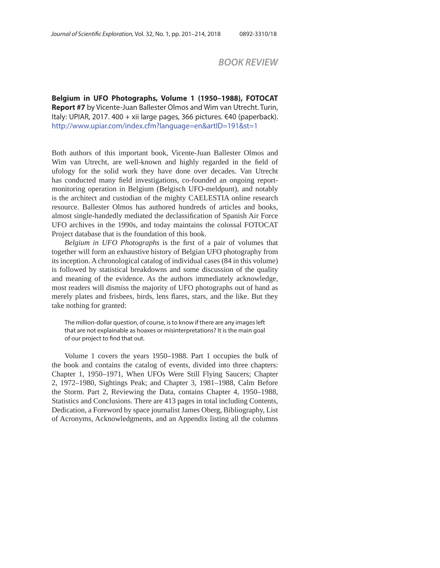## *BOOK REVIEW*

**Belgium in UFO Photographs, Permite 1 (1950–1988), Permite**<br> **Report #7** by Vicente-Juan Ballester Olmos and Wim van Utrecht. Turin,<br>
Italy: UPIAR 2017–400 ± vii Jarge pages, 366 pictures, €40 (paperback) Italy: UPIAR, 2017. 400 + xii large pages, 366 pictures. €40 (paperback). http://www.upiar.com/index.cfm?language=en&artID=191&st=1

Both authors of this important book, Vicente-Juan Ballester Olmos and Wim van Utrecht, are well-known and highly regarded in the field of ufology for the solid work they have done over decades. Van Utrecht has conducted many field investigations, co-founded an ongoing reportmonitoring operation in Belgium (Belgisch UFO-meldpunt), and notably is the architect and custodian of the mighty CAELESTIA online research resource. Ballester Olmos has authored hundreds of articles and books, almost single-handedly mediated the declassification of Spanish Air Force UFO archives in the 1990s, and today maintains the colossal FOTOCAT Project database that is the foundation of this book.

*Belgium in UFO Photographs* is the first of a pair of volumes that together will form an exhaustive history of Belgian UFO photography from its inception. A chronological catalog of individual cases (84 in this volume) is followed by statistical breakdowns and some discussion of the quality and meaning of the evidence. As the authors immediately acknowledge, most readers will dismiss the majority of UFO photographs out of hand as merely plates and frisbees, birds, lens flares, stars, and the like. But they take nothing for granted:

The million-dollar question, of course, is to know if there are any images left that are not explainable as hoaxes or misinterpretations? It is the main goal of our project to find that out.

Volume 1 covers the years 1950–1988. Part 1 occupies the bulk of the book and contains the catalog of events, divided into three chapters: Chapter 1, 1950–1971, When UFOs Were Still Flying Saucers; Chapter 2, 1972–1980, Sightings Peak; and Chapter 3, 1981–1988, Calm Before the Storm. Part 2, Reviewing the Data, contains Chapter 4, 1950–1988, Statistics and Conclusions. There are 413 pages in total including Contents, Dedication, a Foreword by space journalist James Oberg, Bibliography, List of Acronyms, Acknowledgments, and an Appendix listing all the columns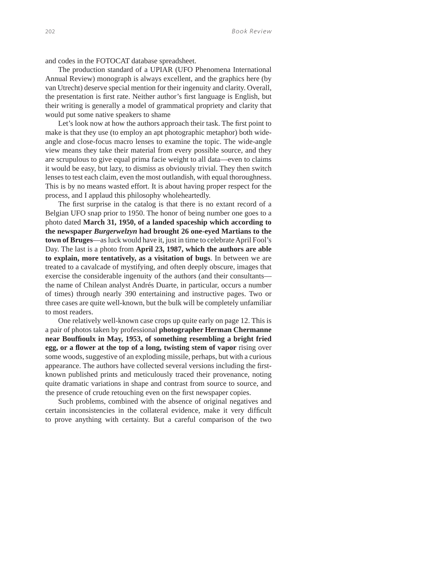and codes in the FOTOCAT database spreadsheet.

The production standard of a UPIAR (UFO Phenomena International Annual Review) monograph is always excellent, and the graphics here (by van Utrecht) deserve special mention for their ingenuity and clarity. Overall, the presentation is first rate. Neither author's first language is English, but their writing is generally a model of grammatical propriety and clarity that would put some native speakers to shame

Let's look now at how the authors approach their task. The first point to make is that they use (to employ an apt photographic metaphor) both wideangle and close-focus macro lenses to examine the topic. The wide-angle view means they take their material from every possible source, and they are scrupulous to give equal prima facie weight to all data—even to claims it would be easy, but lazy, to dismiss as obviously trivial. They then switch lenses to test each claim, even the most outlandish, with equal thoroughness. This is by no means wasted effort. It is about having proper respect for the process, and I applaud this philosophy wholeheartedly.

The first surprise in the catalog is that there is no extant record of a Belgian UFO snap prior to 1950. The honor of being number one goes to a photo dated **March 31, 1950, of a landed spaceship which according to the newspaper** *Burgerwelzyn* **had brought 26 one-eyed Martians to the town of Bruges**—as luck would have it, just in time to celebrate April Fool's Day. The last is a photo from **April 23, 1987, which the authors are able to explain, more tentatively, as a visitation of bugs**. In between we are treated to a cavalcade of mystifying, and often deeply obscure, images that exercise the considerable ingenuity of the authors (and their consultants the name of Chilean analyst Andrés Duarte, in particular, occurs a number of times) through nearly 390 entertaining and instructive pages. Two or three cases are quite well-known, but the bulk will be completely unfamiliar to most readers.

One relatively well-known case crops up quite early on page 12. This is a pair of photos taken by professional **photographer Herman Chermanne near Bouffi oulx in May, 1953, of something resembling a bright fried egg, or a flower at the top of a long, twisting stem of vapor** rising over some woods, suggestive of an exploding missile, perhaps, but with a curious appearance. The authors have collected several versions including the firstknown published prints and meticulously traced their provenance, noting quite dramatic variations in shape and contrast from source to source, and the presence of crude retouching even on the first newspaper copies.

Such problems, combined with the absence of original negatives and certain inconsistencies in the collateral evidence, make it very difficult to prove anything with certainty. But a careful comparison of the two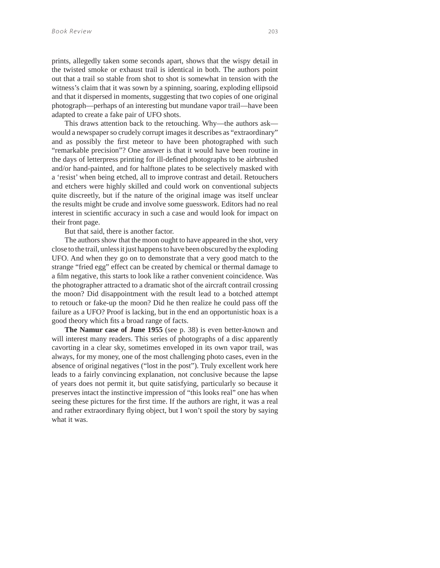prints, allegedly taken some seconds apart, shows that the wispy detail in the twisted smoke or exhaust trail is identical in both. The authors point out that a trail so stable from shot to shot is somewhat in tension with the witness's claim that it was sown by a spinning, soaring, exploding ellipsoid and that it dispersed in moments, suggesting that two copies of one original photograph—perhaps of an interesting but mundane vapor trail—have been adapted to create a fake pair of UFO shots.

This draws attention back to the retouching. Why—the authors ask would a newspaper so crudely corrupt images it describes as "extraordinary" and as possibly the first meteor to have been photographed with such "remarkable precision"? One answer is that it would have been routine in the days of letterpress printing for ill-defined photographs to be airbrushed and/or hand-painted, and for halftone plates to be selectively masked with a 'resist' when being etched, all to improve contrast and detail. Retouchers and etchers were highly skilled and could work on conventional subjects quite discreetly, but if the nature of the original image was itself unclear the results might be crude and involve some guesswork. Editors had no real interest in scientific accuracy in such a case and would look for impact on their front page.

But that said, there is another factor.

The authors show that the moon ought to have appeared in the shot, very close to the trail, unless it just happens to have been obscured by the exploding UFO. And when they go on to demonstrate that a very good match to the strange "fried egg" effect can be created by chemical or thermal damage to a film negative, this starts to look like a rather convenient coincidence. Was the photographer attracted to a dramatic shot of the aircraft contrail crossing the moon? Did disappointment with the result lead to a botched attempt to retouch or fake-up the moon? Did he then realize he could pass off the failure as a UFO? Proof is lacking, but in the end an opportunistic hoax is a good theory which fits a broad range of facts.

**The Namur case of June 1955** (see p. 38) is even better-known and will interest many readers. This series of photographs of a disc apparently cavorting in a clear sky, sometimes enveloped in its own vapor trail, was always, for my money, one of the most challenging photo cases, even in the absence of original negatives ("lost in the post"). Truly excellent work here leads to a fairly convincing explanation, not conclusive because the lapse of years does not permit it, but quite satisfying, particularly so because it preserves intact the instinctive impression of "this looks real" one has when seeing these pictures for the first time. If the authors are right, it was a real and rather extraordinary flying object, but I won't spoil the story by saying what it was.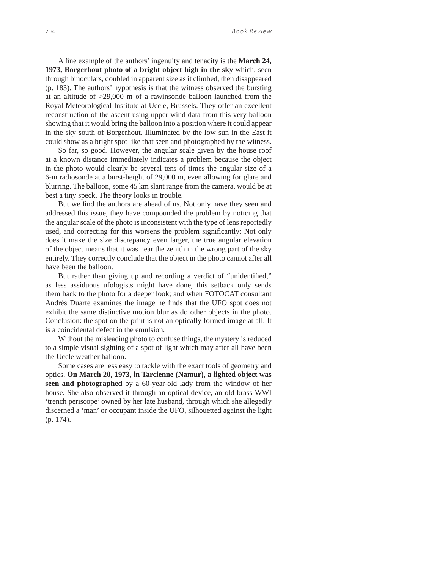A fine example of the authors' ingenuity and tenacity is the March 24, **1973, Borgerhout photo of a bright object high in the sky** which, seen through binoculars, doubled in apparent size as it climbed, then disappeared (p. 183). The authors' hypothesis is that the witness observed the bursting at an altitude of >29,000 m of a rawinsonde balloon launched from the Royal Meteorological Institute at Uccle, Brussels. They offer an excellent reconstruction of the ascent using upper wind data from this very balloon showing that it would bring the balloon into a position where it could appear in the sky south of Borgerhout. Illuminated by the low sun in the East it could show as a bright spot like that seen and photographed by the witness.

So far, so good. However, the angular scale given by the house roof at a known distance immediately indicates a problem because the object in the photo would clearly be several tens of times the angular size of a 6-m radiosonde at a burst-height of 29,000 m, even allowing for glare and blurring. The balloon, some 45 km slant range from the camera, would be at best a tiny speck. The theory looks in trouble.

But we find the authors are ahead of us. Not only have they seen and addressed this issue, they have compounded the problem by noticing that the angular scale of the photo is inconsistent with the type of lens reportedly used, and correcting for this worsens the problem significantly: Not only does it make the size discrepancy even larger, the true angular elevation of the object means that it was near the zenith in the wrong part of the sky entirely. They correctly conclude that the object in the photo cannot after all have been the balloon.

But rather than giving up and recording a verdict of "unidentified," as less assiduous ufologists might have done, this setback only sends them back to the photo for a deeper look; and when FOTOCAT consultant Andrés Duarte examines the image he finds that the UFO spot does not exhibit the same distinctive motion blur as do other objects in the photo. Conclusion: the spot on the print is not an optically formed image at all. It is a coincidental defect in the emulsion.

Without the misleading photo to confuse things, the mystery is reduced to a simple visual sighting of a spot of light which may after all have been the Uccle weather balloon.

Some cases are less easy to tackle with the exact tools of geometry and optics. **On March 20, 1973, in Tarcienne (Namur), a lighted object was seen and photographed** by a 60-year-old lady from the window of her house. She also observed it through an optical device, an old brass WWI 'trench periscope' owned by her late husband, through which she allegedly discerned a 'man' or occupant inside the UFO, silhouetted against the light (p. 174).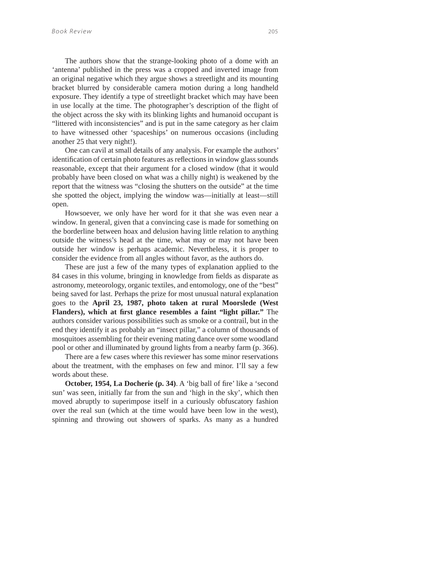The authors show that the strange-looking photo of a dome with an 'antenna' published in the press was a cropped and inverted image from an original negative which they argue shows a streetlight and its mounting bracket blurred by considerable camera motion during a long handheld exposure. They identify a type of streetlight bracket which may have been in use locally at the time. The photographer's description of the flight of the object across the sky with its blinking lights and humanoid occupant is "littered with inconsistencies" and is put in the same category as her claim to have witnessed other 'spaceships' on numerous occasions (including another 25 that very night!).

One can cavil at small details of any analysis. For example the authors' identification of certain photo features as reflections in window glass sounds reasonable, except that their argument for a closed window (that it would probably have been closed on what was a chilly night) is weakened by the report that the witness was "closing the shutters on the outside" at the time she spotted the object, implying the window was—initially at least—still open.

Howsoever, we only have her word for it that she was even near a window. In general, given that a convincing case is made for something on the borderline between hoax and delusion having little relation to anything outside the witness's head at the time, what may or may not have been outside her window is perhaps academic. Nevertheless, it is proper to consider the evidence from all angles without favor, as the authors do.

These are just a few of the many types of explanation applied to the 84 cases in this volume, bringing in knowledge from fields as disparate as astronomy, meteorology, organic textiles, and entomology, one of the "best" being saved for last. Perhaps the prize for most unusual natural explanation goes to the **April 23, 1987, photo taken at rural Moorslede (West**  Flanders), which at first glance resembles a faint "light pillar." The authors consider various possibilities such as smoke or a contrail, but in the end they identify it as probably an "insect pillar," a column of thousands of mosquitoes assembling for their evening mating dance over some woodland pool or other and illuminated by ground lights from a nearby farm (p. 366).

There are a few cases where this reviewer has some minor reservations about the treatment, with the emphases on few and minor. I'll say a few words about these.

**October, 1954, La Docherie (p. 34)**. A 'big ball of fire' like a 'second sun' was seen, initially far from the sun and 'high in the sky', which then moved abruptly to superimpose itself in a curiously obfuscatory fashion over the real sun (which at the time would have been low in the west), spinning and throwing out showers of sparks. As many as a hundred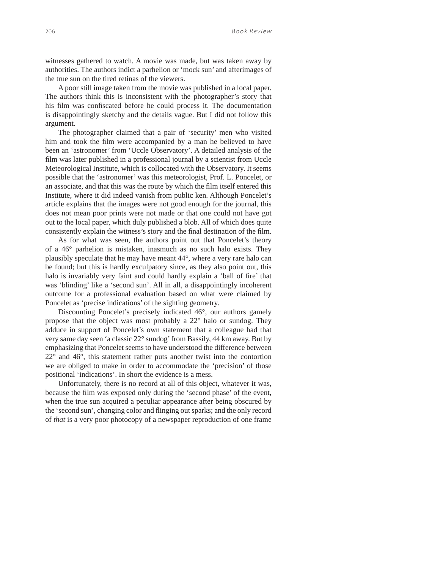witnesses gathered to watch. A movie was made, but was taken away by authorities. The authors indict a parhelion or 'mock sun' and afterimages of the true sun on the tired retinas of the viewers.

A poor still image taken from the movie was published in a local paper. The authors think this is inconsistent with the photographer's story that his film was confiscated before he could process it. The documentation is disappointingly sketchy and the details vague. But I did not follow this argument.

The photographer claimed that a pair of 'security' men who visited him and took the film were accompanied by a man he believed to have been an 'astronomer' from 'Uccle Observatory'. A detailed analysis of the film was later published in a professional journal by a scientist from Uccle Meteorological Institute, which is collocated with the Observatory. It seems possible that the 'astronomer' was this meteorologist, Prof. L. Poncelet, or an associate, and that this was the route by which the film itself entered this Institute, where it did indeed vanish from public ken. Although Poncelet's article explains that the images were not good enough for the journal, this does not mean poor prints were not made or that one could not have got out to the local paper, which duly published a blob. All of which does quite consistently explain the witness's story and the final destination of the film.

As for what was seen, the authors point out that Poncelet's theory of a 46° parhelion is mistaken, inasmuch as no such halo exists. They plausibly speculate that he may have meant 44°, where a very rare halo can be found; but this is hardly exculpatory since, as they also point out, this halo is invariably very faint and could hardly explain a 'ball of fire' that was 'blinding' like a 'second sun'. All in all, a disappointingly incoherent outcome for a professional evaluation based on what were claimed by Poncelet as 'precise indications' of the sighting geometry.

Discounting Poncelet's precisely indicated 46°, our authors gamely propose that the object was most probably a 22° halo or sundog. They adduce in support of Poncelet's own statement that a colleague had that very same day seen 'a classic 22° sundog' from Bassily, 44 km away. But by emphasizing that Poncelet seems to have understood the difference between 22° and 46°, this statement rather puts another twist into the contortion we are obliged to make in order to accommodate the 'precision' of those positional 'indications'. In short the evidence is a mess.

Unfortunately, there is no record at all of this object, whatever it was, because the film was exposed only during the 'second phase' of the event, when the true sun acquired a peculiar appearance after being obscured by the 'second sun', changing color and flinging out sparks; and the only record of *that* is a very poor photocopy of a newspaper reproduction of one frame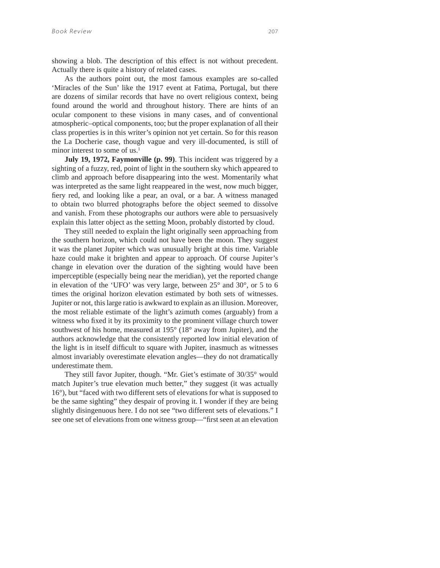showing a blob. The description of this effect is not without precedent. Actually there is quite a history of related cases.

As the authors point out, the most famous examples are so-called 'Miracles of the Sun' like the 1917 event at Fatima, Portugal, but there are dozens of similar records that have no overt religious context, being found around the world and throughout history. There are hints of an ocular component to these visions in many cases, and of conventional atmospheric–optical components, too; but the proper explanation of all their class properties is in this writer's opinion not yet certain. So for this reason the La Docherie case, though vague and very ill-documented, is still of minor interest to some of us.<sup>1</sup>

**July 19, 1972, Faymonville (p. 99)**. This incident was triggered by a sighting of a fuzzy, red, point of light in the southern sky which appeared to climb and approach before disappearing into the west. Momentarily what was interpreted as the same light reappeared in the west, now much bigger, fiery red, and looking like a pear, an oval, or a bar. A witness managed to obtain two blurred photographs before the object seemed to dissolve and vanish. From these photographs our authors were able to persuasively explain this latter object as the setting Moon, probably distorted by cloud.

They still needed to explain the light originally seen approaching from the southern horizon, which could not have been the moon. They suggest it was the planet Jupiter which was unusually bright at this time. Variable haze could make it brighten and appear to approach. Of course Jupiter's change in elevation over the duration of the sighting would have been imperceptible (especially being near the meridian), yet the reported change in elevation of the 'UFO' was very large, between 25° and 30°, or 5 to 6 times the original horizon elevation estimated by both sets of witnesses. Jupiter or not, this large ratio is awkward to explain as an illusion. Moreover, the most reliable estimate of the light's azimuth comes (arguably) from a witness who fixed it by its proximity to the prominent village church tower southwest of his home, measured at 195° (18° away from Jupiter), and the authors acknowledge that the consistently reported low initial elevation of the light is in itself difficult to square with Jupiter, inasmuch as witnesses almost invariably overestimate elevation angles—they do not dramatically underestimate them.

They still favor Jupiter, though. "Mr. Giet's estimate of 30/35° would match Jupiter's true elevation much better," they suggest (it was actually 16°), but "faced with two different sets of elevations for what is supposed to be the same sighting" they despair of proving it. I wonder if they are being slightly disingenuous here. I do not see "two different sets of elevations." I see one set of elevations from one witness group—"first seen at an elevation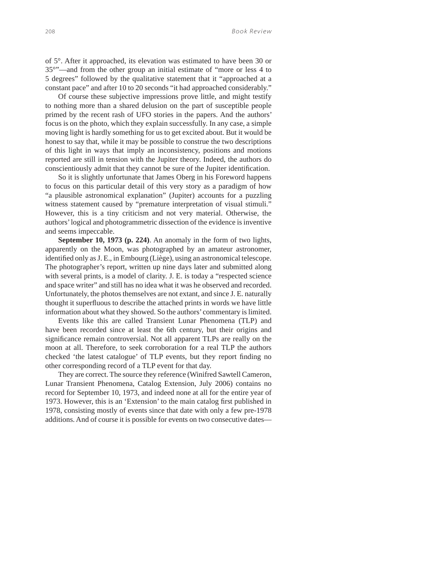of 5°. After it approached, its elevation was estimated to have been 30 or 35°"—and from the other group an initial estimate of "more or less 4 to 5 degrees" followed by the qualitative statement that it "approached at a constant pace" and after 10 to 20 seconds "it had approached considerably."

Of course these subjective impressions prove little, and might testify to nothing more than a shared delusion on the part of susceptible people primed by the recent rash of UFO stories in the papers. And the authors' focus is on the photo, which they explain successfully. In any case, a simple moving light is hardly something for us to get excited about. But it would be honest to say that, while it may be possible to construe the two descriptions of this light in ways that imply an inconsistency, positions and motions reported are still in tension with the Jupiter theory. Indeed, the authors do conscientiously admit that they cannot be sure of the Jupiter identification.

So it is slightly unfortunate that James Oberg in his Foreword happens to focus on this particular detail of this very story as a paradigm of how "a plausible astronomical explanation" (Jupiter) accounts for a puzzling witness statement caused by "premature interpretation of visual stimuli." However, this is a tiny criticism and not very material. Otherwise, the authors' logical and photogrammetric dissection of the evidence is inventive and seems impeccable.

**September 10, 1973 (p. 224)**. An anomaly in the form of two lights, apparently on the Moon, was photographed by an amateur astronomer, identified only as J. E., in Embourg (Liège), using an astronomical telescope. The photographer's report, written up nine days later and submitted along with several prints, is a model of clarity. J. E. is today a "respected science and space writer" and still has no idea what it was he observed and recorded. Unfortunately, the photos themselves are not extant, and since J. E. naturally thought it superfluous to describe the attached prints in words we have little information about what they showed. So the authors' commentary is limited.

Events like this are called Transient Lunar Phenomena (TLP) and have been recorded since at least the 6th century, but their origins and significance remain controversial. Not all apparent TLPs are really on the moon at all. Therefore, to seek corroboration for a real TLP the authors checked 'the latest catalogue' of TLP events, but they report finding no other corresponding record of a TLP event for that day.

They are correct. The source they reference (Winifred Sawtell Cameron, Lunar Transient Phenomena, Catalog Extension, July 2006) contains no record for September 10, 1973, and indeed none at all for the entire year of 1973. However, this is an 'Extension' to the main catalog first published in 1978, consisting mostly of events since that date with only a few pre-1978 additions. And of course it is possible for events on two consecutive dates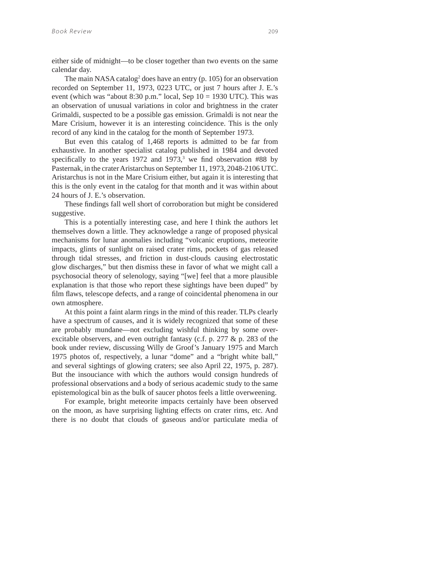either side of midnight—to be closer together than two events on the same calendar day.

The main NASA catalog<sup>2</sup> does have an entry (p. 105) for an observation recorded on September 11, 1973, 0223 UTC, or just 7 hours after J. E.'s event (which was "about 8:30 p.m." local, Sep  $10 = 1930$  UTC). This was an observation of unusual variations in color and brightness in the crater Grimaldi, suspected to be a possible gas emission. Grimaldi is not near the Mare Crisium, however it is an interesting coincidence. This is the only record of any kind in the catalog for the month of September 1973.

But even this catalog of 1,468 reports is admitted to be far from exhaustive. In another specialist catalog published in 1984 and devoted specifically to the years  $1972$  and  $1973$ ,<sup>3</sup> we find observation #88 by Pasternak, in the crater Aristarchus on September 11, 1973, 2048-2106 UTC. Aristarchus is not in the Mare Crisium either, but again it is interesting that this is the only event in the catalog for that month and it was within about 24 hours of J. E.'s observation.

These findings fall well short of corroboration but might be considered suggestive.

This is a potentially interesting case, and here I think the authors let themselves down a little. They acknowledge a range of proposed physical mechanisms for lunar anomalies including "volcanic eruptions, meteorite impacts, glints of sunlight on raised crater rims, pockets of gas released through tidal stresses, and friction in dust-clouds causing electrostatic glow discharges," but then dismiss these in favor of what we might call a psychosocial theory of selenology, saying "[we] feel that a more plausible explanation is that those who report these sightings have been duped" by film flaws, telescope defects, and a range of coincidental phenomena in our own atmosphere.

At this point a faint alarm rings in the mind of this reader. TLPs clearly have a spectrum of causes, and it is widely recognized that some of these are probably mundane—not excluding wishful thinking by some overexcitable observers, and even outright fantasy (c.f. p. 277 & p. 283 of the book under review, discussing Willy de Groof's January 1975 and March 1975 photos of, respectively, a lunar "dome" and a "bright white ball," and several sightings of glowing craters; see also April 22, 1975, p. 287). But the insouciance with which the authors would consign hundreds of professional observations and a body of serious academic study to the same epistemological bin as the bulk of saucer photos feels a little overweening.

For example, bright meteorite impacts certainly have been observed on the moon, as have surprising lighting effects on crater rims, etc. And there is no doubt that clouds of gaseous and/or particulate media of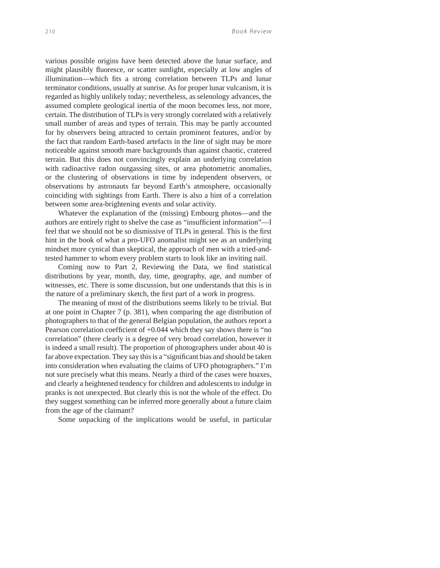various possible origins have been detected above the lunar surface, and might plausibly fluoresce, or scatter sunlight, especially at low angles of illumination—which fits a strong correlation between TLPs and lunar terminator conditions, usually at sunrise. As for proper lunar vulcanism, it is regarded as highly unlikely today; nevertheless, as selenology advances, the assumed complete geological inertia of the moon becomes less, not more, certain. The distribution of TLPs is very strongly correlated with a relatively small number of areas and types of terrain. This may be partly accounted for by observers being attracted to certain prominent features, and/or by the fact that random Earth-based artefacts in the line of sight may be more noticeable against smooth mare backgrounds than against chaotic, cratered terrain. But this does not convincingly explain an underlying correlation with radioactive radon outgassing sites, or area photometric anomalies, or the clustering of observations in time by independent observers, or observations by astronauts far beyond Earth's atmosphere, occasionally coinciding with sightings from Earth. There is also a hint of a correlation between some area-brightening events and solar activity.

Whatever the explanation of the (missing) Embourg photos—and the authors are entirely right to shelve the case as "insufficient information"—I feel that we should not be so dismissive of TLPs in general. This is the first hint in the book of what a pro-UFO anomalist might see as an underlying mindset more cynical than skeptical, the approach of men with a tried-andtested hammer to whom every problem starts to look like an inviting nail.

Coming now to Part 2, Reviewing the Data, we find statistical distributions by year, month, day, time, geography, age, and number of witnesses, etc. There is some discussion, but one understands that this is in the nature of a preliminary sketch, the first part of a work in progress.

The meaning of most of the distributions seems likely to be trivial. But at one point in Chapter 7 (p. 381), when comparing the age distribution of photographers to that of the general Belgian population, the authors report a Pearson correlation coefficient of  $+0.044$  which they say shows there is "no correlation" (there clearly is a degree of very broad correlation, however it is indeed a small result). The proportion of photographers under about 40 is far above expectation. They say this is a "significant bias and should be taken into consideration when evaluating the claims of UFO photographers." I'm not sure precisely what this means. Nearly a third of the cases were hoaxes, and clearly a heightened tendency for children and adolescents to indulge in pranks is not unexpected. But clearly this is not the whole of the effect. Do they suggest something can be inferred more generally about a future claim from the age of the claimant?

Some unpacking of the implications would be useful, in particular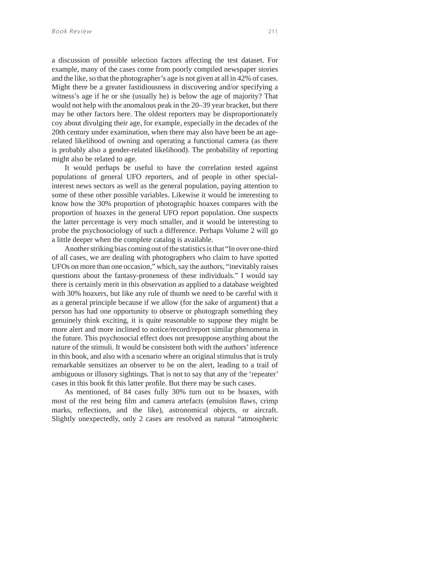a discussion of possible selection factors affecting the test dataset. For example, many of the cases come from poorly compiled newspaper stories and the like, so that the photographer's age is not given at all in 42% of cases. Might there be a greater fastidiousness in discovering and/or specifying a witness's age if he or she (usually he) is below the age of majority? That would not help with the anomalous peak in the 20–39 year bracket, but there may be other factors here. The oldest reporters may be disproportionately coy about divulging their age, for example, especially in the decades of the 20th century under examination, when there may also have been be an agerelated likelihood of owning and operating a functional camera (as there is probably also a gender-related likelihood). The probability of reporting might also be related to age.

It would perhaps be useful to have the correlation tested against populations of general UFO reporters, and of people in other specialinterest news sectors as well as the general population, paying attention to some of these other possible variables. Likewise it would be interesting to know how the 30% proportion of photographic hoaxes compares with the proportion of hoaxes in the general UFO report population. One suspects the latter percentage is very much smaller, and it would be interesting to probe the psychosociology of such a difference. Perhaps Volume 2 will go a little deeper when the complete catalog is available.

Another striking bias coming out of the statistics is that "In over one-third of all cases, we are dealing with photographers who claim to have spotted UFOs on more than one occasion," which, say the authors, "inevitably raises questions about the fantasy-proneness of these individuals." I would say there is certainly merit in this observation as applied to a database weighted with 30% hoaxers, but like any rule of thumb we need to be careful with it as a general principle because if we allow (for the sake of argument) that a person has had one opportunity to observe or photograph something they genuinely think exciting, it is quite reasonable to suppose they might be more alert and more inclined to notice/record/report similar phenomena in the future. This psychosocial effect does not presuppose anything about the nature of the stimuli. It would be consistent both with the authors' inference in this book, and also with a scenario where an original stimulus that is truly remarkable sensitizes an observer to be on the alert, leading to a trail of ambiguous or illusory sightings. That is not to say that any of the 'repeater' cases in this book fit this latter profile. But there may be such cases.

As mentioned, of 84 cases fully 30% turn out to be hoaxes, with most of the rest being film and camera artefacts (emulsion flaws, crimp marks, reflections, and the like), astronomical objects, or aircraft. Slightly unexpectedly, only 2 cases are resolved as natural "atmospheric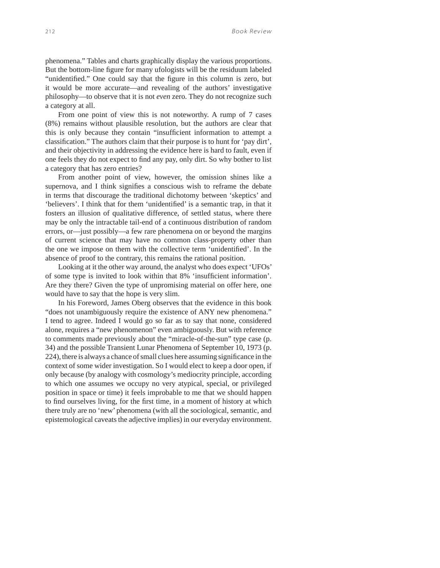phenomena." Tables and charts graphically display the various proportions. But the bottom-line figure for many ufologists will be the residuum labeled "unidentified." One could say that the figure in this column is zero, but it would be more accurate—and revealing of the authors' investigative philosophy—to observe that it is not *even* zero. They do not recognize such a category at all.

From one point of view this is not noteworthy. A rump of 7 cases (8%) remains without plausible resolution, but the authors are clear that this is only because they contain "insufficient information to attempt a classification." The authors claim that their purpose is to hunt for 'pay dirt', and their objectivity in addressing the evidence here is hard to fault, even if one feels they do not expect to find any pay, only dirt. So why bother to list a category that has zero entries?

From another point of view, however, the omission shines like a supernova, and I think signifies a conscious wish to reframe the debate in terms that discourage the traditional dichotomy between 'skeptics' and 'believers'. I think that for them 'unidentified' is a semantic trap, in that it fosters an illusion of qualitative difference, of settled status, where there may be only the intractable tail-end of a continuous distribution of random errors, or—just possibly—a few rare phenomena on or beyond the margins of current science that may have no common class-property other than the one we impose on them with the collective term 'unidentified'. In the absence of proof to the contrary, this remains the rational position.

Looking at it the other way around, the analyst who does expect 'UFOs' of some type is invited to look within that 8% 'insufficient information'. Are they there? Given the type of unpromising material on offer here, one would have to say that the hope is very slim.

In his Foreword, James Oberg observes that the evidence in this book "does not unambiguously require the existence of ANY new phenomena." I tend to agree. Indeed I would go so far as to say that none, considered alone, requires a "new phenomenon" even ambiguously. But with reference to comments made previously about the "miracle-of-the-sun" type case (p. 34) and the possible Transient Lunar Phenomena of September 10, 1973 (p. 224), there is always a chance of small clues here assuming significance in the context of some wider investigation. So I would elect to keep a door open, if only because (by analogy with cosmology's mediocrity principle, according to which one assumes we occupy no very atypical, special, or privileged position in space or time) it feels improbable to me that we should happen to find ourselves living, for the first time, in a moment of history at which there truly are no 'new' phenomena (with all the sociological, semantic, and epistemological caveats the adjective implies) in our everyday environment.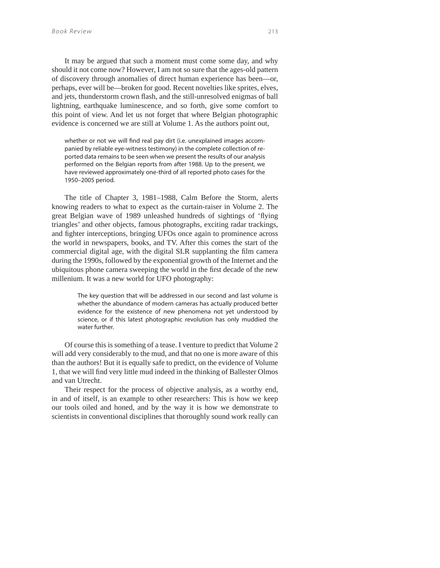It may be argued that such a moment must come some day, and why should it not come now? However, I am not so sure that the ages-old pattern of discovery through anomalies of direct human experience has been—or, perhaps, ever will be—broken for good. Recent novelties like sprites, elves, and jets, thunderstorm crown flash, and the still-unresolved enigmas of ball lightning, earthquake luminescence, and so forth, give some comfort to this point of view. And let us not forget that where Belgian photographic evidence is concerned we are still at Volume 1. As the authors point out,

whether or not we will find real pay dirt (i.e. unexplained images accompanied by reliable eye-witness testimony) in the complete collection of reported data remains to be seen when we present the results of our analysis performed on the Belgian reports from after 1988. Up to the present, we have reviewed approximately one-third of all reported photo cases for the 1950–2005 period.

The title of Chapter 3, 1981–1988, Calm Before the Storm, alerts knowing readers to what to expect as the curtain-raiser in Volume 2. The great Belgian wave of 1989 unleashed hundreds of sightings of 'flying triangles' and other objects, famous photographs, exciting radar trackings, and fighter interceptions, bringing UFOs once again to prominence across the world in newspapers, books, and TV. After this comes the start of the commercial digital age, with the digital SLR supplanting the film camera during the 1990s, followed by the exponential growth of the Internet and the ubiquitous phone camera sweeping the world in the first decade of the new millenium. It was a new world for UFO photography:

> The key question that will be addressed in our second and last volume is whether the abundance of modern cameras has actually produced better evidence for the existence of new phenomena not yet understood by science, or if this latest photographic revolution has only muddied the water further.

Of course this is something of a tease. I venture to predict that Volume 2 will add very considerably to the mud, and that no one is more aware of this than the authors! But it is equally safe to predict, on the evidence of Volume 1, that we will find very little mud indeed in the thinking of Ballester Olmos and van Utrecht.

Their respect for the process of objective analysis, as a worthy end, in and of itself, is an example to other researchers: This is how we keep our tools oiled and honed, and by the way it is how we demonstrate to scientists in conventional disciplines that thoroughly sound work really can